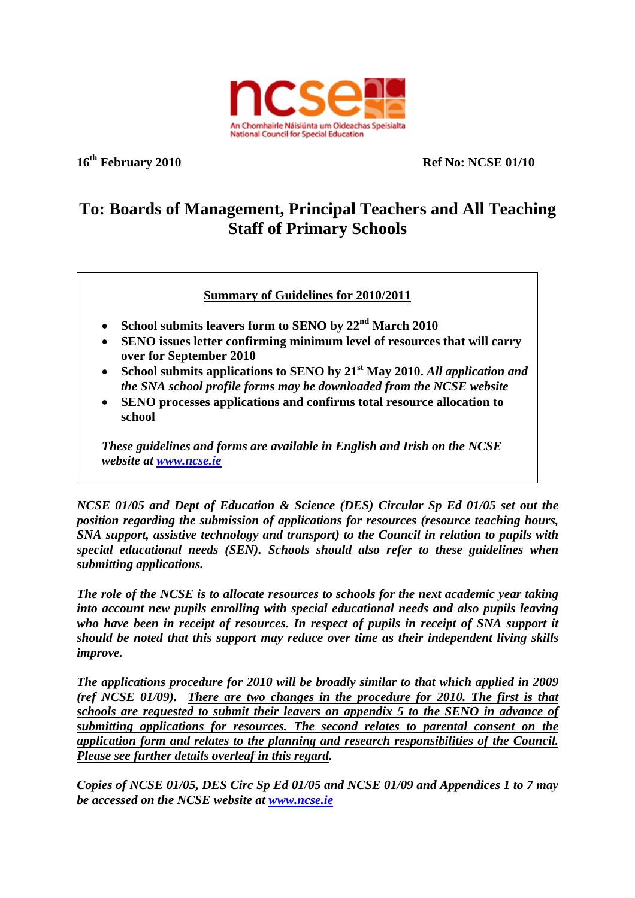

**16th February 2010 Ref No: NCSE 01/10** 

## **To: Boards of Management, Principal Teachers and All Teaching Staff of Primary Schools**

**Summary of Guidelines for 2010/2011**

- **School submits leavers form to SENO by 22nd March 2010**
- **SENO issues letter confirming minimum level of resources that will carry over for September 2010**
- **School submits applications to SENO by 21st May 2010.** *All application and the SNA school profile forms may be downloaded from the NCSE website*
- **SENO processes applications and confirms total resource allocation to school**

*These guidelines and forms are available in English and Irish on the NCSE website at www.ncse.ie*

*NCSE 01/05 and Dept of Education & Science (DES) Circular Sp Ed 01/05 set out the position regarding the submission of applications for resources (resource teaching hours, SNA support, assistive technology and transport) to the Council in relation to pupils with special educational needs (SEN). Schools should also refer to these guidelines when submitting applications.* 

*The role of the NCSE is to allocate resources to schools for the next academic year taking into account new pupils enrolling with special educational needs and also pupils leaving who have been in receipt of resources. In respect of pupils in receipt of SNA support it should be noted that this support may reduce over time as their independent living skills improve.* 

*The applications procedure for 2010 will be broadly similar to that which applied in 2009 (ref NCSE 01/09). There are two changes in the procedure for 2010. The first is that schools are requested to submit their leavers on appendix 5 to the SENO in advance of submitting applications for resources. The second relates to parental consent on the application form and relates to the planning and research responsibilities of the Council. Please see further details overleaf in this regard.* 

*Copies of NCSE 01/05, DES Circ Sp Ed 01/05 and NCSE 01/09 and Appendices 1 to 7 may be accessed on the NCSE website at www.ncse.ie*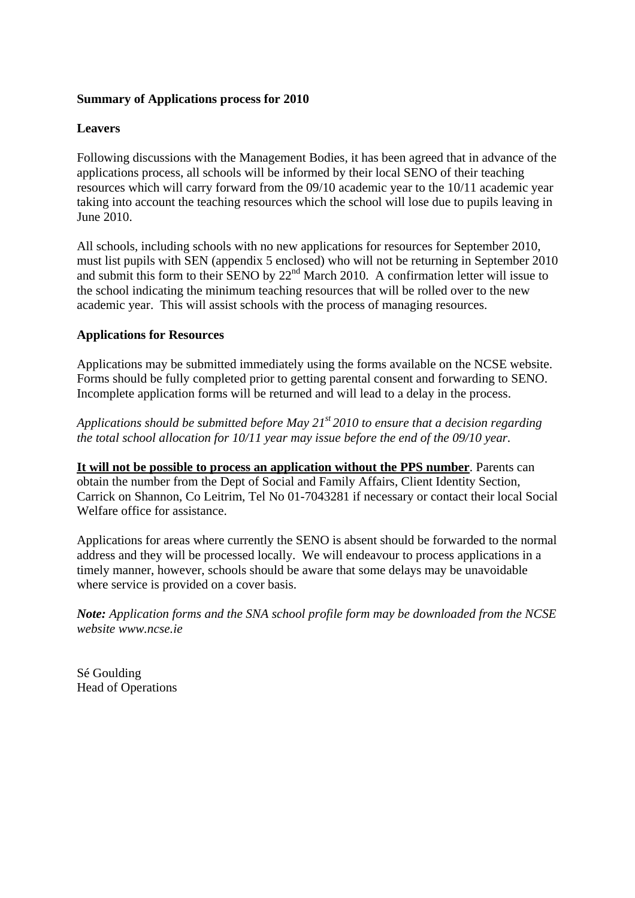## **Summary of Applications process for 2010**

## **Leavers**

Following discussions with the Management Bodies, it has been agreed that in advance of the applications process, all schools will be informed by their local SENO of their teaching resources which will carry forward from the 09/10 academic year to the 10/11 academic year taking into account the teaching resources which the school will lose due to pupils leaving in June 2010.

All schools, including schools with no new applications for resources for September 2010, must list pupils with SEN (appendix 5 enclosed) who will not be returning in September 2010 and submit this form to their SENO by 22<sup>nd</sup> March 2010. A confirmation letter will issue to the school indicating the minimum teaching resources that will be rolled over to the new academic year. This will assist schools with the process of managing resources.

## **Applications for Resources**

Applications may be submitted immediately using the forms available on the NCSE website. Forms should be fully completed prior to getting parental consent and forwarding to SENO. Incomplete application forms will be returned and will lead to a delay in the process.

*Applications should be submitted before May 21st 2010 to ensure that a decision regarding the total school allocation for 10/11 year may issue before the end of the 09/10 year.* 

**It will not be possible to process an application without the PPS number**. Parents can obtain the number from the Dept of Social and Family Affairs, Client Identity Section, Carrick on Shannon, Co Leitrim, Tel No 01-7043281 if necessary or contact their local Social Welfare office for assistance.

Applications for areas where currently the SENO is absent should be forwarded to the normal address and they will be processed locally. We will endeavour to process applications in a timely manner, however, schools should be aware that some delays may be unavoidable where service is provided on a cover basis.

*Note: Application forms and the SNA school profile form may be downloaded from the NCSE website www.ncse.ie* 

Sé Goulding Head of Operations